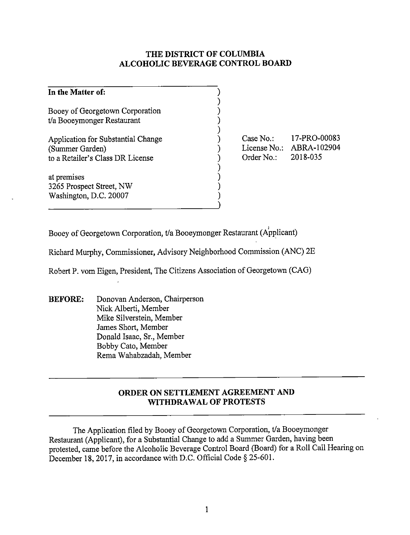## **THE DISTRICT OF COLUMBIA ALCOHOLIC BEVERAGE CONTROL BOARD**

| In the Matter of:                  |  |
|------------------------------------|--|
| Booey of Georgetown Corporation    |  |
| t/a Booeymonger Restaurant         |  |
| Application for Substantial Change |  |
| (Summer Garden)                    |  |
| to a Retailer's Class DR License   |  |
|                                    |  |
| at premises                        |  |
| 3265 Prospect Street, NW           |  |
| Washington, D.C. 20007             |  |
|                                    |  |

Case No.: License No.: ABRA-102904 Order No.: 17-PRO-00083 2018-035

Booey of Georgetown Corporation, t/a Booeymonger Restaurant (Applicant)

Richard Murphy, Commissioner, Advisory Neighborhood Commission (ANC) 2E

Robert P. vom Eigen, President, The Citizens Association of Georgetown (CAG)

**BEFORE:** Donovan Anderson, Chairperson Nick Alberti, Member Mike Silverstein, Member James Short, Member Donald Isaac, Sr., Member Bobby Cato, Member Rema Wahabzadah, Member

## **ORDER ON SETTLEMENT AGREEMENT AND WITHDRAWAL OF PROTESTS**

The Application filed by Booey of Georgetown Corporation, t/a Booeymonger Restaurant (Applicant), for a Substantial Change to add a Summer Garden, having been protested, came before the Alcoholic Beverage Control Board (Board) for a Roll Call Hearing on December 18, 2017, in accordance with D.C. Official Code § 25-601.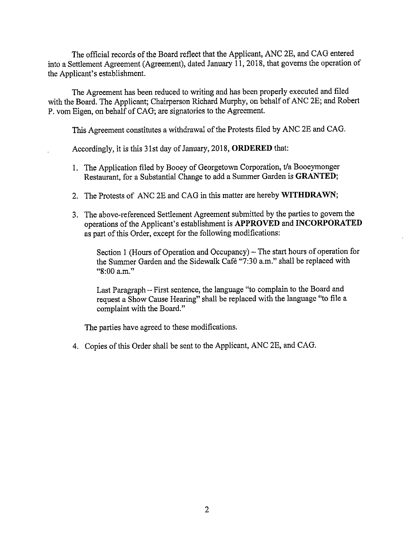The official records of the Board reflect that the Applicant, ANC 2E, and CAG entered into a Settlement Agreement (Agreement), dated January 11, 2018, that governs the operation of the Applicant's establishment.

The Agreement has been reduced to writing and has been properly executed and filed with the Board. The Applicant; Chairperson Richard Murphy, on behalf of ANC 2E; and Robert P. vom Eigen, on behalf of CAG; are signatories to the Agreement.

This Agreement constitutes a withdrawal of the Protests filed by ANC 2E and CAG.

Accordingly, it is this 31st day of January, 2018, **ORDERED** that:

- I. The Application filed by Booey of Georgetown Corporation, t/a Booeymonger Restaurant, for a Substantial Change to add a Summer Garden is **GRANTED;**
- 2. The Protests of ANC 2E and CAG in this matter are hereby **WITHDRAWN;**
- 3. The above-referenced Settlement Agreement submitted by the parties to govern the operations of the Applicant's establishment is **APPROVED and INCORPORATED**  as part of this Order, except for the following modifications:

Section 1 (Hours of Operation and Occupancy) - The start hours of operation for the Summer Garden and the Sidewalk Cafe "7:30 a.m." shall be replaced with "8:00 a.m."

Last Paragraph - First sentence, the language "to complain to the Board and request a Show Cause Hearing" shall be replaced with the language "to file a complaint with the Board."

The parties have agreed to these modifications.

4. Copies of this Order shall be sent to the Applicant, ANC 2E, and CAG.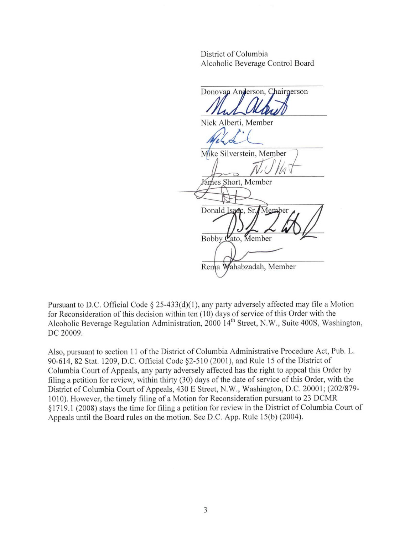District of Columbia Alcoholic Beverage Control Board

Donovan Anderson, Chairnerson Nick Alberti, Member Mike Silverstein, Member Fames Short, Member Donald Isadc, Sr. Member Bobby  $\mathfrak{C}$ ato, Member Rema Wahabzadah, Member

Pursuant to D.C. Official Code  $\S 25-433(d)(1)$ , any party adversely affected may file a Motion for Reconsideration of this decision within ten ( 10) days of service of this Order with the Alcoholic Beverage Regulation Administration, 2000 14<sup>th</sup> Street, N.W., Suite 400S, Washington, DC 20009.

Also, pursuant to section 11 of the District of Columbia Administrative Procedure Act, Pub. L. 90-6 14, 82 Stat. 1209, D.C. Official Code §2-5 10 (2001), and Rule 15 of the District of Columbia Court of Appeals, any party adversely affected has the right to appeal this Order by filing a petition for review, within thirty (30) days of the date of service of this Order, with the District of Columbia Court of Appeals, 430 E Street, N.W., Washington, D.C. 20001; (202/879-1010). However, the timely filing of a Motion for Reconsideration pursuant to 23 DCMR § 17 19.1 (2008) stays the time for filing a petition for review in the District of Columbia Court of Appeals until the Board rules on the motion. See D.C. App. Rule 15(b) (2004).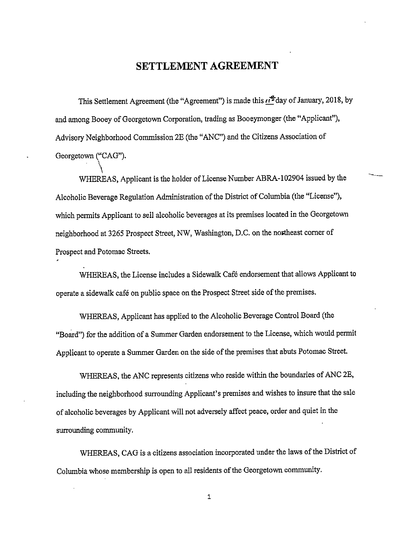## **SETTLEMENT AGREEMENT**

This Settlement Agreement (the "Agreement") is made this  $\vec{H}^2$  day of January, 2018, by and among Booey of Georgetown Corporation, trading as Booeymonger (the "Applicant"), Advisory Neighborhood Commission 2E (the "ANC") and the Citizens Association of Georgetown ("CAG").

 $\setminus$ WHEREAS, Applicant is the holder of License Number ABRA-102904 issued by the Alcoholic Beverage Regulation Administration of the District of Columbia (the "License"), which permits Applicant to sell alcoholic beverages at its premises located in the Georgetown neighborhood at 3265 Prospect Street, NW, Washington, D.C. on the northeast corner of Prospect and Potomac Streets.

WHEREAS, the License includes a Sidewalk Café endorsement that allows Applicant to operate a sidewalk cafe on public space on the Prospect Street side of the premises.

WHEREAS, Applicant has applied to the Alcoholic Beverage Control Board (the "Board") for the addition of a Summer Garden endorsement to the License, which would permit Applicant to operate a Summer Garden on the side of the premises that abuts Potomac Street.

WHEREAS, the ANC represents citizens who reside within the boundaries of ANC 2E, including the neighborhood surrounding Applicant's premises and wishes to insure that the sale of alcoholic beverages by Applicant will not adversely affect peace, order and quiet in the surrounding community.

WHEREAS, CAG is a citizens association incorporated under the laws of the District of Columbia whose membership is open to all residents of the Georgetown community.

1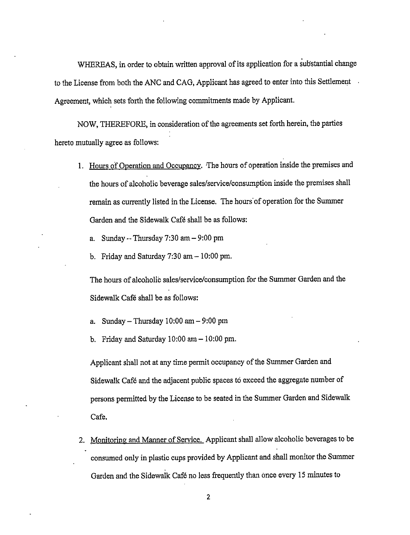WHEREAS, in order to obtain written approval of its application for a substantial change to the License from both the ANC and CAG, Applicant has agreed to enter into this Settlement Agreement, which sets forth the following commitments made by Applicant.

NOW, THEREFORE, in consideration of the agreements set forth herein, the parties hereto mutually agree as follows:

- 1. Hours of Operation and Occupancy. The hours of operation inside the premises and the hours of alcoholic beverage sales/service/consumption inside the premises shall remain as currently listed in the License. The hours of operation for the Summer Garden and the Sidewalk Cafe shall be as follows:
	- a. Sunday  $-$  Thursday 7:30 am  $-$  9:00 pm
	- b. Friday and Saturday  $7:30$  am  $-10:00$  pm.

The hours of alcoholic sales/service/consumption for the Summer Garden and the Sidewalk Cafe shall be as follows:

- a. Sunday Thursday  $10:00$  am  $-9:00$  pm
- b. Friday and Saturday  $10:00$  am  $-10:00$  pm.

Applicant shall not at any time permit occupancy of the Summer Garden and Sidewalk Cafe and the adjacent public spaces to exceed the aggregate number of persons permitted by the License to be seated in the Summer Garden and Sidewalk Cafe.

2. Monitoring and Manner of Service. Applicant shall allow alcoholic beverages to be consumed only in plastic cups provided by Applicant and shall monitor the Summer Garden and the Sidewalk Cafe no Jess frequently than once every 15 minutes to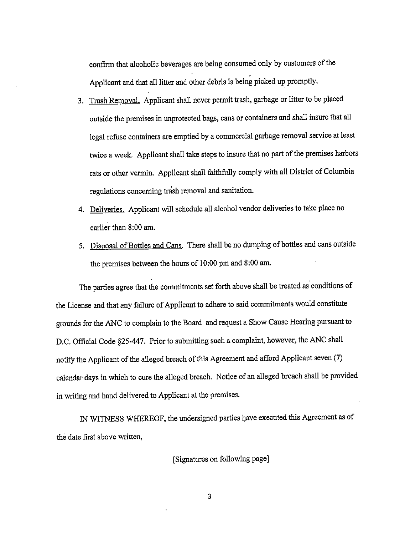confirm that alcoholic beverages are being consumed only by customers of the . Applicant and that all litter and other debris is being picked up promptly.

- 3. Trash Removal. Applicant shall never permit trash, garbage or litter to be placed outside the premises in unprotected bags, cans or containers and shall insure that all legal refuse containers are emptied by a commercial garbage removal service at least twice a week. Applicant shall take steps to insure that no part of the premises harbors rats or other vermin. Applicant shall faithfully comply with all District of Columbia regulations concerning trash removal and sanitation.
- 4. Deliveries. Applicant will schedule all alcohol vendor deliveries to take place no earlier than 8:00 am.
- 5. Disposal of Bottles and Cans. There shall be no dumping of bottles and cans outside the premises between the hours of 10:00 pm and 8:00 am.

The parties agree that the commitments set forth above shall be treated as conditions of the License and that any failure of Applicant to adhere to said commitments would constitute grounds for the ANC to complain to the Board and request a Show Cause Hearing pursuant to D.C. Official Code §25-447. Prior to submitting such a complaint, however, the ANC shall notify the Applicant of the alleged breach of this Agreement and afford Applicant seven (7) calendar days in which to cure the alleged breach. Notice of an alleged breach shall be provided in writing and hand delivered to Applicant at the premises.

IN WITNESS WHEREOF, the undersigned parties have executed this Agreement as of the date first above written,

[Signatures on following page]